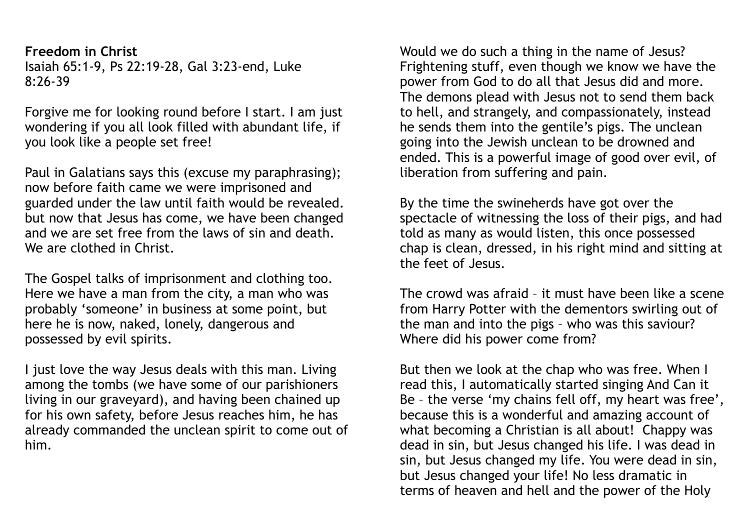**Freedom in Christ**  Isaiah 65:1-9, Ps 22:19-28, Gal 3:23-end, Luke 8:26-39

Forgive me for looking round before I start. I am just wondering if you all look filled with abundant life, if you look like a people set free!

Paul in Galatians says this (excuse my paraphrasing); now before faith came we were imprisoned and guarded under the law until faith would be revealed. but now that Jesus has come, we have been changed and we are set free from the laws of sin and death. We are clothed in Christ.

The Gospel talks of imprisonment and clothing too. Here we have a man from the city, a man who was probably 'someone' in business at some point, but here he is now, naked, lonely, dangerous and possessed by evil spirits.

I just love the way Jesus deals with this man. Living among the tombs (we have some of our parishioners living in our graveyard), and having been chained up for his own safety, before Jesus reaches him, he has already commanded the unclean spirit to come out of him.

Would we do such a thing in the name of Jesus? Frightening stuff, even though we know we have the power from God to do all that Jesus did and more. The demons plead with Jesus not to send them back to hell, and strangely, and compassionately, instead he sends them into the gentile's pigs. The unclean going into the Jewish unclean to be drowned and ended. This is a powerful image of good over evil, of liberation from suffering and pain.

By the time the swineherds have got over the spectacle of witnessing the loss of their pigs, and had told as many as would listen, this once possessed chap is clean, dressed, in his right mind and sitting at the feet of Jesus.

The crowd was afraid – it must have been like a scene from Harry Potter with the dementors swirling out of the man and into the pigs – who was this saviour? Where did his power come from?

But then we look at the chap who was free. When I read this, I automatically started singing And Can it Be – the verse 'my chains fell off, my heart was free', because this is a wonderful and amazing account of what becoming a Christian is all about! Chappy was dead in sin, but Jesus changed his life. I was dead in sin, but Jesus changed my life. You were dead in sin, but Jesus changed your life! No less dramatic in terms of heaven and hell and the power of the Holy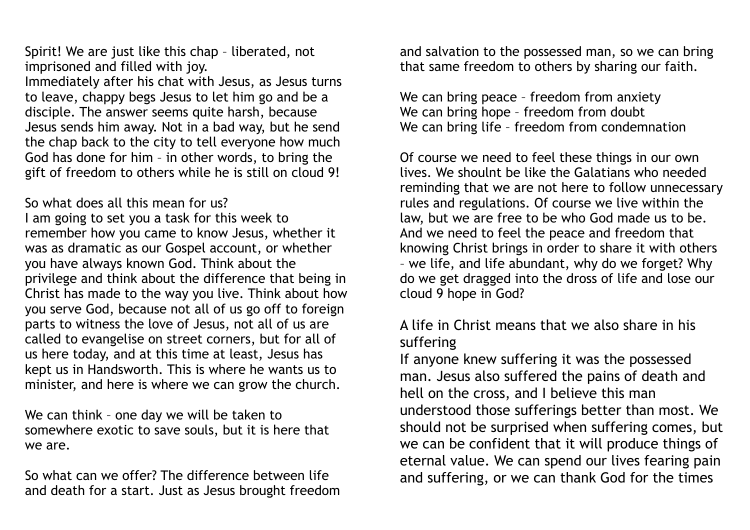Spirit! We are just like this chap – liberated, not imprisoned and filled with joy.

Immediately after his chat with Jesus, as Jesus turns to leave, chappy begs Jesus to let him go and be a disciple. The answer seems quite harsh, because Jesus sends him away. Not in a bad way, but he send the chap back to the city to tell everyone how much God has done for him – in other words, to bring the gift of freedom to others while he is still on cloud 9!

So what does all this mean for us?

I am going to set you a task for this week to remember how you came to know Jesus, whether it was as dramatic as our Gospel account, or whether you have always known God. Think about the privilege and think about the difference that being in Christ has made to the way you live. Think about how you serve God, because not all of us go off to foreign parts to witness the love of Jesus, not all of us are called to evangelise on street corners, but for all of us here today, and at this time at least, Jesus has kept us in Handsworth. This is where he wants us to minister, and here is where we can grow the church.

We can think – one day we will be taken to somewhere exotic to save souls, but it is here that we are.

So what can we offer? The difference between life and death for a start. Just as Jesus brought freedom and salvation to the possessed man, so we can bring that same freedom to others by sharing our faith.

We can bring peace – freedom from anxiety We can bring hope – freedom from doubt We can bring life – freedom from condemnation

Of course we need to feel these things in our own lives. We shoulnt be like the Galatians who needed reminding that we are not here to follow unnecessary rules and regulations. Of course we live within the law, but we are free to be who God made us to be. And we need to feel the peace and freedom that knowing Christ brings in order to share it with others – we life, and life abundant, why do we forget? Why do we get dragged into the dross of life and lose our cloud 9 hope in God?

## A life in Christ means that we also share in his suffering

If anyone knew suffering it was the possessed man. Jesus also suffered the pains of death and hell on the cross, and I believe this man understood those sufferings better than most. We should not be surprised when suffering comes, but we can be confident that it will produce things of eternal value. We can spend our lives fearing pain and suffering, or we can thank God for the times